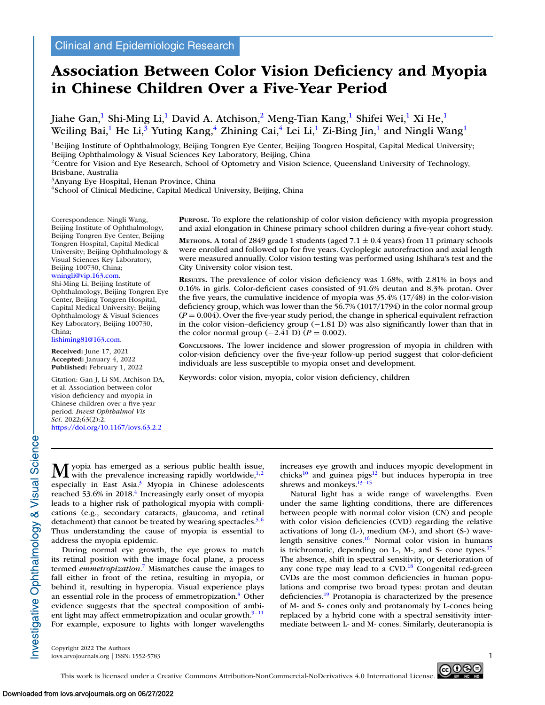# **Association Between Color Vision Deficiency and Myopia in Chinese Children Over a Five-Year Period**

Jiahe Gan,<sup>1</sup> Shi-Ming Li,<sup>1</sup> David A. Atchison,<sup>2</sup> Meng-Tian Kang,<sup>1</sup> Shifei Wei,<sup>1</sup> Xi He,<sup>1</sup> Weiling Bai,<sup>1</sup> He Li,<sup>3</sup> Yuting Kang,<sup>4</sup> Zhining Cai,<sup>4</sup> Lei Li,<sup>1</sup> Zi-Bing Jin,<sup>1</sup> and Ningli Wang<sup>1</sup>

 $1$ Beijing Institute of Ophthalmology, Beijing Tongren Eye Center, Beijing Tongren Hospital, Capital Medical University; Beijing Ophthalmology & Visual Sciences Key Laboratory, Beijing, China

<sup>2</sup>Centre for Vision and Eye Research, School of Optometry and Vision Science, Queensland University of Technology, Brisbane, Australia

3Anyang Eye Hospital, Henan Province, China

<sup>4</sup>School of Clinical Medicine, Capital Medical University, Beijing, China

Correspondence: Ningli Wang, Beijing Institute of Ophthalmology, Beijing Tongren Eye Center, Beijing Tongren Hospital, Capital Medical University; Beijing Ophthalmology & Visual Sciences Key Laboratory, Beijing 100730, China; [wningli@vip.163.com.](mailto:wningli@vip.163.com)

Shi-Ming Li, Beijing Institute of Ophthalmology, Beijing Tongren Eye Center, Beijing Tongren Hospital, Capital Medical University; Beijing Ophthalmology & Visual Sciences Key Laboratory, Beijing 100730, China;

[lishiming81@163.com.](mailto:lishiming81@163.com)

**Received:** June 17, 2021 **Accepted:** January 4, 2022 **Published:** February 1, 2022

Citation: Gan J, Li SM, Atchison DA, et al. Association between color vision deficiency and myopia in Chinese children over a five-year period. *Invest Ophthalmol Vis Sci.* 2022;63(2):2. <https://doi.org/10.1167/iovs.63.2.2>

**PURPOSE.** To explore the relationship of color vision deficiency with myopia progression and axial elongation in Chinese primary school children during a five-year cohort study.

**METHODS.** A total of 2849 grade 1 students (aged 7.1  $\pm$  0.4 years) from 11 primary schools were enrolled and followed up for five years. Cycloplegic autorefraction and axial length were measured annually. Color vision testing was performed using Ishihara's test and the City University color vision test.

**RESULTS.** The prevalence of color vision deficiency was 1.68%, with 2.81% in boys and 0.16% in girls. Color-deficient cases consisted of 91.6% deutan and 8.3% protan. Over the five years, the cumulative incidence of myopia was 35.4% (17/48) in the color-vision deficiency group, which was lower than the 56.7% (1017/1794) in the color normal group  $(P = 0.004)$ . Over the five-year study period, the change in spherical equivalent refraction in the color vision–deficiency group  $(-1.81 \text{ D})$  was also significantly lower than that in the color normal group  $(-2.41 \text{ D})$  (*P* = 0.002).

**CONCLUSIONS.** The lower incidence and slower progression of myopia in children with color-vision deficiency over the five-year follow-up period suggest that color-deficient individuals are less susceptible to myopia onset and development.

Keywords: color vision, myopia, color vision deficiency, children

 $M$  yopia has emerged as a serious public health issue,<br>with the prevalence increasing rapidly worldwide,<sup>1,2</sup> especially in East Asia.<sup>3</sup> Myopia in Chinese adolescents reached 53.6% in 2018.<sup>4</sup> Increasingly early onset of myopia leads to a higher risk of pathological myopia with complications (e.g., secondary cataracts, glaucoma, and retinal detachment) that cannot be treated by wearing spectacles.<sup>5,6</sup> Thus understanding the cause of myopia is essential to address the myopia epidemic. During normal eye growth, the eye grows to match

its retinal position with the image focal plane, a process termed *emmetropization*. [7](#page-5-0) Mismatches cause the images to fall either in front of the retina, resulting in myopia, or behind it, resulting in hyperopia. Visual experience plays an essential role in the process of emmetropization[.8](#page-5-0) Other evidence suggests that the spectral composition of ambient light may affect emmetropization and ocular growth. $9-11$ For example, exposure to lights with longer wavelengths

increases eye growth and induces myopic development in chicks<sup>10</sup> and guinea pigs<sup>12</sup> but induces hyperopia in tree shrews and monkeys. $13-15$ 

Natural light has a wide range of wavelengths. Even under the same lighting conditions, there are differences between people with normal color vision (CN) and people with color vision deficiencies (CVD) regarding the relative activations of long (L-), medium (M-), and short (S-) wavelength sensitive cones. $16$  Normal color vision in humans is trichromatic, depending on L-, M-, and S- cone types. $17$ The absence, shift in spectral sensitivity, or deterioration of any cone type may lead to a  $CVD$ .<sup>18</sup> Congenital red-green CVDs are the most common deficiencies in human populations and comprise two broad types: protan and deutan deficiencies[.19](#page-5-0) Protanopia is characterized by the presence of M- and S- cones only and protanomaly by L-cones being replaced by a hybrid cone with a spectral sensitivity intermediate between L- and M- cones. Similarly, deuteranopia is

Copyright 2022 The Authors iovs.arvojournals.org | ISSN: 1552-5783 1



nvestigative Ophthalmology & Visual Science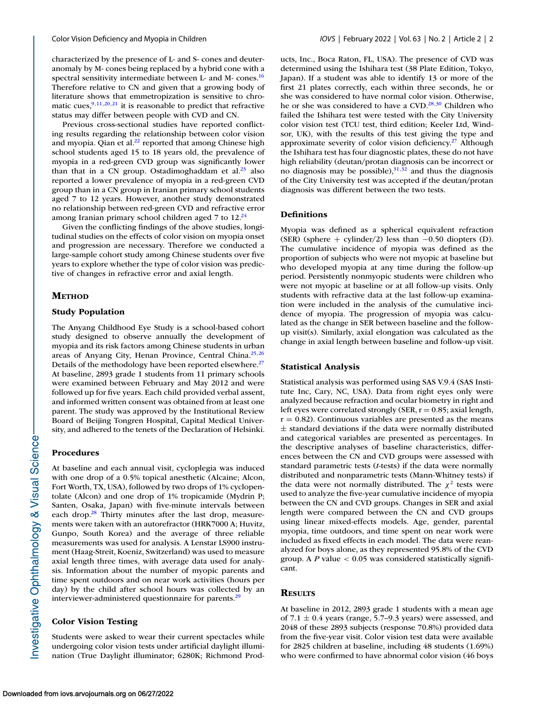characterized by the presence of L- and S- cones and deuteranomaly by M- cones being replaced by a hybrid cone with a spectral sensitivity intermediate between L- and M- cones[.16](#page-5-0) Therefore relative to CN and given that a growing body of literature shows that emmetropization is sensitive to chromatic cues,  $9,11,20,21$  it is reasonable to predict that refractive status may differ between people with CVD and CN.

Previous cross-sectional studies have reported conflicting results regarding the relationship between color vision and myopia. Qian et al. $2<sup>2</sup>$  reported that among Chinese high school students aged 15 to 18 years old, the prevalence of myopia in a red-green CVD group was significantly lower than that in a CN group. Ostadimoghaddam et al. $^{23}$  also reported a lower prevalence of myopia in a red-green CVD group than in a CN group in Iranian primary school students aged 7 to 12 years. However, another study demonstrated no relationship between red-green CVD and refractive error among Iranian primary school children aged  $7$  to  $12.^{24}$ 

Given the conflicting findings of the above studies, longitudinal studies on the effects of color vision on myopia onset and progression are necessary. Therefore we conducted a large-sample cohort study among Chinese students over five years to explore whether the type of color vision was predictive of changes in refractive error and axial length.

# **METHOD**

# **Study Population**

The Anyang Childhood Eye Study is a school-based cohort study designed to observe annually the development of myopia and its risk factors among Chinese students in urban areas of Anyang City, Henan Province, Central China.<sup>25,26</sup> Details of the methodology have been reported elsewhere.<sup>27</sup> At baseline, 2893 grade 1 students from 11 primary schools were examined between February and May 2012 and were followed up for five years. Each child provided verbal assent, and informed written consent was obtained from at least one parent. The study was approved by the Institutional Review Board of Beijing Tongren Hospital, Capital Medical University, and adhered to the tenets of the Declaration of Helsinki.

# **Procedures**

At baseline and each annual visit, cycloplegia was induced with one drop of a 0.5% topical anesthetic (Alcaine; Alcon, Fort Worth, TX, USA), followed by two drops of 1% cyclopentolate (Alcon) and one drop of 1% tropicamide (Mydrin P; Santen, Osaka, Japan) with five-minute intervals between each drop. $28$  Thirty minutes after the last drop, measurements were taken with an autorefractor (HRK7000 A; Huvitz, Gunpo, South Korea) and the average of three reliable measurements was used for analysis. A Lenstar LS900 instrument (Haag-Streit, Koeniz, Switzerland) was used to measure axial length three times, with average data used for analysis. Information about the number of myopic parents and time spent outdoors and on near work activities (hours per day) by the child after school hours was collected by an interviewer-administered questionnaire for parents.<sup>29</sup>

# **Color Vision Testing**

Students were asked to wear their current spectacles while undergoing color vision tests under artificial daylight illumination (True Daylight illuminator; 6280K; Richmond Products, Inc., Boca Raton, FL, USA). The presence of CVD was determined using the Ishihara test (38 Plate Edition, Tokyo, Japan). If a student was able to identify 13 or more of the first 21 plates correctly, each within three seconds, he or she was considered to have normal color vision. Otherwise, he or she was considered to have a  $CVD$ .<sup>28,30</sup> Children who failed the Ishihara test were tested with the City University color vision test (TCU test, third edition; Keeler Ltd, Windsor, UK), with the results of this test giving the type and approximate severity of color vision deficiency.<sup>27</sup> Although the Ishihara test has four diagnostic plates, these do not have high reliability (deutan/protan diagnosis can be incorrect or no diagnosis may be possible), $31,32$  and thus the diagnosis of the City University test was accepted if the deutan/protan diagnosis was different between the two tests.

# **Definitions**

Myopia was defined as a spherical equivalent refraction (SER) (sphere + cylinder/2) less than  $-0.50$  diopters (D). The cumulative incidence of myopia was defined as the proportion of subjects who were not myopic at baseline but who developed myopia at any time during the follow-up period. Persistently nonmyopic students were children who were not myopic at baseline or at all follow-up visits. Only students with refractive data at the last follow-up examination were included in the analysis of the cumulative incidence of myopia. The progression of myopia was calculated as the change in SER between baseline and the followup visit(s). Similarly, axial elongation was calculated as the change in axial length between baseline and follow-up visit.

# **Statistical Analysis**

Statistical analysis was performed using SAS V.9.4 (SAS Institute Inc, Cary, NC, USA). Data from right eyes only were analyzed because refraction and ocular biometry in right and left eyes were correlated strongly (SER,  $r = 0.85$ ; axial length,  $r = 0.82$ ). Continuous variables are presented as the means  $\pm$  standard deviations if the data were normally distributed and categorical variables are presented as percentages. In the descriptive analyses of baseline characteristics, differences between the CN and CVD groups were assessed with standard parametric tests (*t*-tests) if the data were normally distributed and nonparametric tests (Mann-Whitney tests) if the data were not normally distributed. The  $\chi^2$  tests were used to analyze the five-year cumulative incidence of myopia between the CN and CVD groups. Changes in SER and axial length were compared between the CN and CVD groups using linear mixed-effects models. Age, gender, parental myopia, time outdoors, and time spent on near work were included as fixed effects in each model. The data were reanalyzed for boys alone, as they represented 95.8% of the CVD group. A *P* value < 0.05 was considered statistically significant.

# **RESULTS**

At baseline in 2012, 2893 grade 1 students with a mean age of 7.1  $\pm$  0.4 years (range, 5.7–9.3 years) were assessed, and 2048 of these 2893 subjects (response 70.8%) provided data from the five-year visit. Color vision test data were available for 2825 children at baseline, including 48 students (1.69%) who were confirmed to have abnormal color vision (46 boys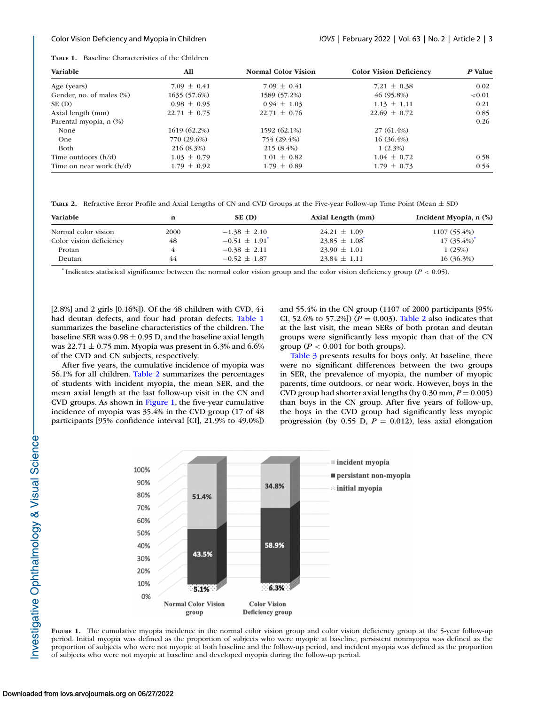| <b>TABLE 1.</b> Baseline Characteristics of the Children |  |
|----------------------------------------------------------|--|
|                                                          |  |

| Variable                  | All              | <b>Normal Color Vision</b> | <b>Color Vision Deficiency</b> | P Value   |  |
|---------------------------|------------------|----------------------------|--------------------------------|-----------|--|
| Age (years)               | $7.09 \pm 0.41$  | $7.09 \pm 0.41$            | 7.21 $\pm$ 0.38                | 0.02      |  |
| Gender, no. of males (%)  | 1635 (57.6%)     | 1589 (57.2%)               | 46(95.8%)                      | ${<}0.01$ |  |
| $SE$ (D)                  | $0.98 \pm 0.95$  | $0.94 \pm 1.03$            | $1.13 \pm 1.11$                | 0.21      |  |
| Axial length (mm)         | $22.71 \pm 0.75$ | $22.71 \pm 0.76$           | $22.69 \pm 0.72$               | 0.85      |  |
| Parental myopia, n (%)    |                  |                            |                                | 0.26      |  |
| None                      | 1619 (62.2%)     | 1592 (62.1%)               | $27(61.4\%)$                   |           |  |
| <b>One</b>                | 770 (29.6%)      | 754 (29.4%)                | $16(36.4\%)$                   |           |  |
| Both                      | 216 (8.3%)       | $215(8.4\%)$               | 1(2.3%)                        |           |  |
| Time outdoors $(h/d)$     | $1.03 \pm 0.79$  | $1.01 \pm 0.82$            | $1.04 \pm 0.72$                | 0.58      |  |
| Time on near work $(h/d)$ | $1.79 \pm 0.92$  | $1.79 \pm 0.89$            | $1.79 \pm 0.73$                | 0.54      |  |

**TABLE 2.** Refractive Error Profile and Axial Lengths of CN and CVD Groups at the Five-year Follow-up Time Point (Mean ± SD)

| <b>Variable</b>         | n    | SE (D)                        | Axial Length (mm)             | Incident Myopia, n (%) |
|-------------------------|------|-------------------------------|-------------------------------|------------------------|
| Normal color vision     | 2000 | $-1.38 \pm 2.10$              | $24.21 \pm 1.09$              | 1107 (55.4%)           |
| Color vision deficiency | 48   | $-0.51 \pm 1.91$ <sup>*</sup> | $23.85 \pm 1.08$ <sup>*</sup> | $17(35.4\%)^*$         |
| Protan                  |      | $-0.38 \pm 2.11$              | $23.90 \pm 1.01$              | 1(25%)                 |
| Deutan                  | 44   | $-0.52 \pm 1.87$              | $23.84 \pm 1.11$              | $16(36.3\%)$           |

 $*$  Indicates statistical significance between the normal color vision group and the color vision deficiency group ( $P < 0.05$ ).

[2.8%] and 2 girls [0.16%]). Of the 48 children with CVD, 44 had deutan defects, and four had protan defects. Table 1 summarizes the baseline characteristics of the children. The baseline SER was  $0.98 \pm 0.95$  D, and the baseline axial length was 22.71  $\pm$  0.75 mm. Myopia was present in 6.3% and 6.6% of the CVD and CN subjects, respectively.

After five years, the cumulative incidence of myopia was 56.1% for all children. Table 2 summarizes the percentages of students with incident myopia, the mean SER, and the mean axial length at the last follow-up visit in the CN and CVD groups. As shown in Figure 1, the five-year cumulative incidence of myopia was 35.4% in the CVD group (17 of 48 participants [95% confidence interval [CI], 21.9% to 49.0%]) and 55.4% in the CN group (1107 of 2000 participants [95% CI, 52.6% to 57.2%]) ( $P = 0.003$ ). Table 2 also indicates that at the last visit, the mean SERs of both protan and deutan groups were significantly less myopic than that of the CN group ( $P < 0.001$  for both groups).

[Table 3](#page-3-0) presents results for boys only. At baseline, there were no significant differences between the two groups in SER, the prevalence of myopia, the number of myopic parents, time outdoors, or near work. However, boys in the CVD group had shorter axial lengths (by  $0.30$  mm,  $P = 0.005$ ) than boys in the CN group. After five years of follow-up, the boys in the CVD group had significantly less myopic progression (by 0.55 D,  $P = 0.012$ ), less axial elongation



**FIGURE 1.** The cumulative myopia incidence in the normal color vision group and color vision deficiency group at the 5-year follow-up period. Initial myopia was defined as the proportion of subjects who were myopic at baseline, persistent nonmyopia was defined as the proportion of subjects who were not myopic at both baseline and the follow-up period, and incident myopia was defined as the proportion of subjects who were not myopic at baseline and developed myopia during the follow-up period.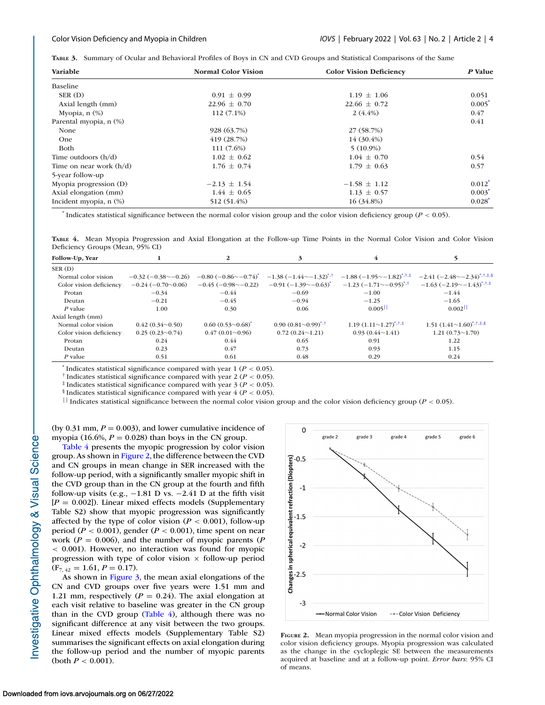<span id="page-3-0"></span>**TABLE 3.** Summary of Ocular and Behavioral Profiles of Boys in CN and CVD Groups and Statistical Comparisons of the Same

| Variable                    | <b>Normal Color Vision</b> | <b>Color Vision Deficiency</b> | P Value              |  |
|-----------------------------|----------------------------|--------------------------------|----------------------|--|
| Baseline                    |                            |                                |                      |  |
| SER (D)                     | $0.91 \pm 0.99$            | $1.19 \pm 1.06$                | 0.051                |  |
| Axial length (mm)           | $22.96 \pm 0.70$           | $22.66 \pm 0.72$               | $0.005*$             |  |
| Myopia, $n$ $(\%)$          | $112(7.1\%)$               | $2(4.4\%)$                     | 0.47                 |  |
| Parental myopia, n (%)      |                            |                                | 0.41                 |  |
| None                        | 928 (63.7%)                | 27 (58.7%)                     |                      |  |
| One                         | 419(28.7%)                 | 14 (30.4%)                     |                      |  |
| Both                        | 111 (7.6%)                 | $5(10.9\%)$                    |                      |  |
| Time outdoors $(h/d)$       | $1.02 \pm 0.62$            | $1.04 \pm 0.70$                | 0.54                 |  |
| Time on near work $(h/d)$   | $1.76 \pm 0.74$            | $1.79 \pm 0.63$                | 0.57                 |  |
| 5-year follow-up            |                            |                                |                      |  |
| Myopia progression (D)      | $-2.13 \pm 1.54$           | $-1.58 \pm 1.12$               | $0.012^*$            |  |
| Axial elongation (mm)       | $1.44 \pm 0.65$            | $1.13 \pm 0.57$                | $0.003*$             |  |
| Incident myopia, $n$ $(\%)$ | 512 (51.4%)                | 16 (34.8%)                     | $0.028$ <sup>*</sup> |  |

\* Indicates statistical significance between the normal color vision group and the color vision deficiency group (*P* < 0.05).

**TABLE 4.** Mean Myopia Progression and Axial Elongation at the Follow-up Time Points in the Normal Color Vision and Color Vision Deficiency Groups (Mean, 95% CI)

| Follow-Up, Year         |                          |                                                 | 3                               |                                  |                                                                  |
|-------------------------|--------------------------|-------------------------------------------------|---------------------------------|----------------------------------|------------------------------------------------------------------|
| SER(D)                  |                          |                                                 |                                 |                                  |                                                                  |
| Normal color vision     | $-0.32(-0.38\sim-0.26)$  | $-0.80$ ( $-0.86$ $\sim$ $-0.74$ ) <sup>*</sup> | $-1.38(-1.44 \sim -1.32)^{1.1}$ | $-1.88(-1.95\sim-1.82)^{1.1}$    | $-2.41$ $(-2.48\sim -2.34)$ <sup>*</sup>                         |
| Color vision deficiency | $-0.24(-0.70\sim0.06)$   | $-0.45$ ( $-0.98$ $\sim$ $-0.22$ )              | $-0.91(-1.39\sim -0.63)$        | $-1.23$ $(-1.71 \sim -0.95)^{4}$ | $-1.63$ $(-2.19 \sim -1.43)^{1.1}$                               |
| Protan                  | $-0.34$                  | $-0.44$                                         | $-0.69$                         | $-1.00$                          | $-1.44$                                                          |
| Deutan                  | $-0.21$                  | $-0.45$                                         | $-0.94$                         | $-1.25$                          | $-1.65$                                                          |
| P value                 | 1.00                     | 0.30                                            | 0.06                            | 0.005                            | 0.002                                                            |
| Axial length (mm)       |                          |                                                 |                                 |                                  |                                                                  |
| Normal color vision     | $0.42(0.34\sim0.50)$     | $0.60(0.53\text{~}0.68)$                        | $0.90 (0.81 \sim 0.99)^{4.1}$   | 1.19 $(1.11 \sim 1.27)^{4,1.1}$  | $1.51 (1.41 \sim 1.60)^{4, \dagger, \ddagger, \dagger, \dagger}$ |
| Color vision deficiency | $0.25(0.23\text{~}0.74)$ | $0.47(0.01\text{~}0.96)$                        | $0.72(0.24 \sim 1.21)$          | $0.93(0.44 \sim 1.41)$           | $1.21(0.73 \sim 1.70)$                                           |
| Protan                  | 0.24                     | 0.44                                            | 0.65                            | 0.91                             | 1.22                                                             |
| Deutan                  | 0.23                     | 0.47                                            | 0.73                            | 0.93                             | 1.15                                                             |
| P value                 | 0.51                     | 0.61                                            | 0.48                            | 0.29                             | 0.24                                                             |

<sup>\*</sup> Indicates statistical significance compared with year 1 ( $P < 0.05$ ).

<sup>†</sup> Indicates statistical significance compared with year 2 ( $P < 0.05$ ).

<sup>‡</sup> Indicates statistical significance compared with year  $3 (P < 0.05)$ .

§ Indicates statistical significance compared with year  $4 (P < 0.05)$ .

|| Indicates statistical significance between the normal color vision group and the color vision deficiency group ( $P < 0.05$ ).

(by  $0.31$  mm,  $P = 0.003$ ), and lower cumulative incidence of myopia (16.6%,  $P = 0.028$ ) than boys in the CN group.

Table 4 presents the myopic progression by color vision group. As shown in Figure 2, the difference between the CVD and CN groups in mean change in SER increased with the follow-up period, with a significantly smaller myopic shift in the CVD group than in the CN group at the fourth and fifth follow-up visits (e.g.,  $-1.81$  D vs.  $-2.41$  D at the fifth visit  $[P = 0.002]$ ). Linear mixed effects models (Supplementary Table S2) show that myopic progression was significantly affected by the type of color vision ( $P < 0.001$ ), follow-up period ( $P < 0.001$ ), gender ( $P < 0.001$ ), time spent on near work ( $P = 0.006$ ), and the number of myopic parents ( $P$ < 0.001). However, no interaction was found for myopic progression with type of color vision  $\times$  follow-up period  $(F_{7,42} = 1.61, P = 0.17).$ 

As shown in [Figure 3,](#page-4-0) the mean axial elongations of the CN and CVD groups over five years were 1.51 mm and 1.21 mm, respectively  $(P = 0.24)$ . The axial elongation at each visit relative to baseline was greater in the CN group than in the CVD group (Table 4), although there was no significant difference at any visit between the two groups. Linear mixed effects models (Supplementary Table S2) summarises the significant effects on axial elongation during the follow-up period and the number of myopic parents (both *P* < 0.001).



**FIGURE 2.** Mean myopia progression in the normal color vision and color vision deficiency groups. Myopia progression was calculated as the change in the cycloplegic SE between the measurements acquired at baseline and at a follow-up point. *Error bars*: 95% CI of means.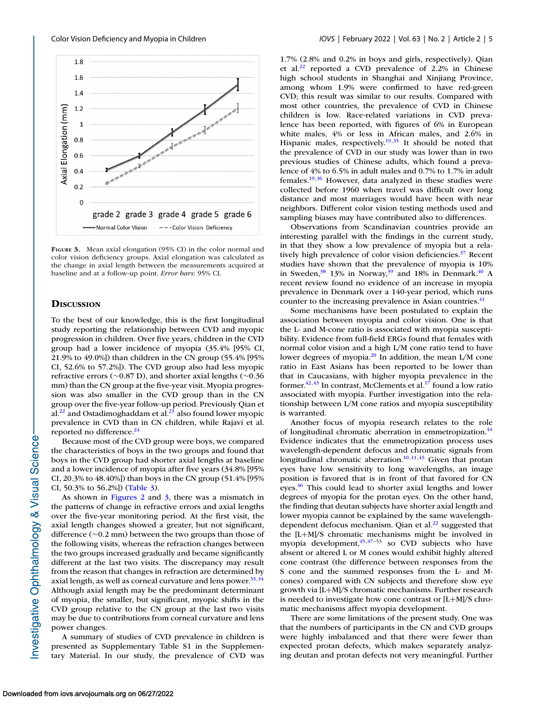<span id="page-4-0"></span>

**FIGURE 3.** Mean axial elongation (95% CI) in the color normal and color vision deficiency groups. Axial elongation was calculated as the change in axial length between the measurements acquired at baseline and at a follow-up point. *Error bars*: 95% CI.

# **DISCUSSION**

To the best of our knowledge, this is the first longitudinal study reporting the relationship between CVD and myopic progression in children. Over five years, children in the CVD group had a lower incidence of myopia (35.4% [95% CI, 21.9% to 49.0%]) than children in the CN group (55.4% [95% CI, 52.6% to 57.2%]). The CVD group also had less myopic refractive errors (∼0.87 D), and shorter axial lengths (∼0.36 mm) than the CN group at the five-year visit. Myopia progression was also smaller in the CVD group than in the CN group over the five-year follow-up period. Previously Qian et  $al.<sup>22</sup>$  and Ostadimoghaddam et al.<sup>23</sup> also found lower myopic prevalence in CVD than in CN children, while Rajavi et al. reported no difference.<sup>24</sup>

Because most of the CVD group were boys, we compared the characteristics of boys in the two groups and found that boys in the CVD group had shorter axial lengths at baseline and a lower incidence of myopia after five years (34.8% [95% CI, 20.3% to 48.40%]) than boys in the CN group (51.4% [95% CI, 50.3% to 56.2%]) [\(Table 3\)](#page-3-0).

As shown in [Figures 2](#page-3-0) and 3, there was a mismatch in the patterns of change in refractive errors and axial lengths over the five-year monitoring period. At the first visit, the axial length changes showed a greater, but not significant, difference (∼0.2 mm) between the two groups than those of the following visits, whereas the refraction changes between the two groups increased gradually and became significantly different at the last two visits. The discrepancy may result from the reason that changes in refraction are determined by axial length, as well as corneal curvature and lens power. $33,34$ Although axial length may be the predominant determinant of myopia, the smaller, but significant, myopic shifts in the CVD group relative to the CN group at the last two visits may be due to contributions from corneal curvature and lens power changes.

A summary of studies of CVD prevalence in children is presented as Supplementary Table S1 in the Supplementary Material. In our study, the prevalence of CVD was 1.7% (2.8% and 0.2% in boys and girls, respectively). Qian et al[.22](#page-5-0) reported a CVD prevalence of 2.2% in Chinese high school students in Shanghai and Xinjiang Province, among whom 1.9% were confirmed to have red-green CVD; this result was similar to our results. Compared with most other countries, the prevalence of CVD in Chinese children is low. Race-related variations in CVD prevalence has been reported, with figures of 6% in European white males, 4% or less in African males, and 2.6% in Hispanic males, respectively.<sup>19,[35](#page-6-0)</sup> It should be noted that the prevalence of CVD in our study was lower than in two previous studies of Chinese adults, which found a prevalence of 4% to 6.5% in adult males and 0.7% to 1.7% in adult females[.19,](#page-5-0)[36](#page-6-0) However, data analyzed in these studies were collected before 1960 when travel was difficult over long distance and most marriages would have been with near neighbors. Different color vision testing methods used and sampling biases may have contributed also to differences.

Observations from Scandinavian countries provide an interesting parallel with the findings in the current study, in that they show a low prevalence of myopia but a relatively high prevalence of color vision deficiencies.<sup>37</sup> Recent studies have shown that the prevalence of myopia is 10% in Sweden,<sup>38</sup> 13% in Norway,<sup>39</sup> and 18% in Denmark.<sup>40</sup> A recent review found no evidence of an increase in myopia prevalence in Denmark over a 140-year period, which runs counter to the increasing prevalence in Asian countries.<sup>41</sup>

Some mechanisms have been postulated to explain the association between myopia and color vision. One is that the L- and M-cone ratio is associated with myopia susceptibility. Evidence from full-field ERGs found that females with normal color vision and a high L/M cone ratio tend to have lower degrees of myopia.<sup>20</sup> In addition, the mean L/M cone ratio in East Asians has been reported to be lower than that in Caucasians, with higher myopia prevalence in the former. $42,43$  In contrast, McClements et al.<sup>17</sup> found a low ratio associated with myopia. Further investigation into the relationship between L/M cone ratios and myopia susceptibility is warranted.

Another focus of myopia research relates to the role of longitudinal chromatic aberration in emmetropization.<sup>44</sup> Evidence indicates that the emmetropization process uses wavelength-dependent defocus and chromatic signals from longitudinal chromatic aberration.<sup>10,11,[45](#page-6-0)</sup> Given that protan eyes have low sensitivity to long wavelengths, an image position is favored that is in front of that favored for CN eyes.<sup>46</sup> This could lead to shorter axial lengths and lower degrees of myopia for the protan eyes. On the other hand, the finding that deutan subjects have shorter axial length and lower myopia cannot be explained by the same wavelengthdependent defocus mechanism. Qian et al. $^{22}$  suggested that the [L+M]/S chromatic mechanisms might be involved in myopia development,  $45,47-53$  so CVD subjects who have absent or altered L or M cones would exhibit highly altered cone contrast (the difference between responses from the S cone and the summed responses from the L- and Mcones) compared with CN subjects and therefore slow eye growth via [L+M]/S chromatic mechanisms. Further research is needed to investigate how cone contrast or [L+M]/S chromatic mechanisms affect myopia development.

There are some limitations of the present study. One was that the numbers of participants in the CN and CVD groups were highly imbalanced and that there were fewer than expected protan defects, which makes separately analyzing deutan and protan defects not very meaningful. Further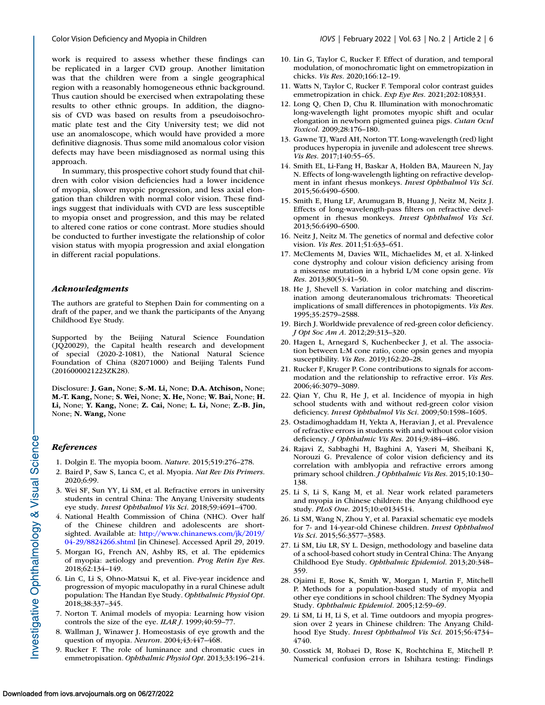<span id="page-5-0"></span>work is required to assess whether these findings can be replicated in a larger CVD group. Another limitation was that the children were from a single geographical region with a reasonably homogeneous ethnic background. Thus caution should be exercised when extrapolating these results to other ethnic groups. In addition, the diagnosis of CVD was based on results from a pseudoisochromatic plate test and the City University test; we did not use an anomaloscope, which would have provided a more definitive diagnosis. Thus some mild anomalous color vision defects may have been misdiagnosed as normal using this approach.

In summary, this prospective cohort study found that children with color vision deficiencies had a lower incidence of myopia, slower myopic progression, and less axial elongation than children with normal color vision. These findings suggest that individuals with CVD are less susceptible to myopia onset and progression, and this may be related to altered cone ratios or cone contrast. More studies should be conducted to further investigate the relationship of color vision status with myopia progression and axial elongation in different racial populations.

# *Acknowledgments*

The authors are grateful to Stephen Dain for commenting on a draft of the paper, and we thank the participants of the Anyang Childhood Eye Study.

Supported by the Beijing Natural Science Foundation ( JQ20029), the Capital health research and development of special (2020-2-1081), the National Natural Science Foundation of China (82071000) and Beijing Talents Fund (2016000021223ZK28).

Disclosure: **J. Gan,** None; **S.-M. Li,** None; **D.A. Atchison,** None; **M.-T. Kang,** None; **S. Wei,** None; **X. He,** None; **W. Bai,** None; **H. Li,** None; **Y. Kang,** None; **Z. Cai,** None; **L. Li,** None; **Z.-B. Jin,** None; **N. Wang,** None

# *References*

- 1. Dolgin E. The myopia boom. *Nature*. 2015;519:276–278.
- 2. Baird P, Saw S, Lanca C, et al. Myopia. *Nat Rev Dis Primers*. 2020;6:99.
- 3. Wei SF, Sun YY, Li SM, et al. Refractive errors in university students in central China: The Anyang University students eye study. *Invest Ophthalmol Vis Sci*. 2018;59:4691–4700.
- 4. National Health Commission of China (NHC). Over half of the Chinese children and adolescents are shortsighted. Available at: http://www.chinanews.com/jk/2019/ 04-29/8824266.shtml [\[in Chinese\]. Accessed April 29, 2019.](http://www.chinanews.com/jk/2019/04-29/8824266.shtml)
- 5. Morgan IG, French AN, Ashby RS, et al. The epidemics of myopia: aetiology and prevention. *Prog Retin Eye Res*. 2018;62:134–149.
- 6. Lin C, Li S, Ohno-Matsui K, et al. Five-year incidence and progression of myopic maculopathy in a rural Chinese adult population: The Handan Eye Study. *Ophthalmic Physiol Opt*. 2018;38:337–345.
- 7. Norton T. Animal models of myopia: Learning how vision controls the size of the eye. *ILAR J*. 1999;40:59–77.
- 8. Wallman J, Winawer J. Homeostasis of eye growth and the question of myopia. *Neuron*. 2004;43:447–468.
- 9. Rucker F. The role of luminance and chromatic cues in emmetropisation. *Ophthalmic Physiol Opt*. 2013;33:196–214.
- 10. Lin G, Taylor C, Rucker F. Effect of duration, and temporal modulation, of monochromatic light on emmetropization in chicks. *Vis Res*. 2020;166:12–19.
- 11. Watts N, Taylor C, Rucker F. Temporal color contrast guides emmetropization in chick. *Exp Eye Res*. 2021;202:108331.
- 12. Long Q, Chen D, Chu R. Illumination with monochromatic long-wavelength light promotes myopic shift and ocular elongation in newborn pigmented guinea pigs. *Cutan Ocul Toxicol*. 2009;28:176–180.
- 13. Gawne TJ, Ward AH, Norton TT. Long-wavelength (red) light produces hyperopia in juvenile and adolescent tree shrews. *Vis Res*. 2017;140:55–65.
- 14. Smith EL, Li-Fang H, Baskar A, Holden BA, Maureen N, Jay N. Effects of long-wavelength lighting on refractive development in infant rhesus monkeys. *Invest Ophthalmol Vis Sci*. 2015;56:6490–6500.
- 15. Smith E, Hung LF, Arumugam B, Huang J, Neitz M, Neitz J. Effects of long-wavelength-pass filters on refractive development in rhesus monkeys. *Invest Ophthalmol Vis Sci*. 2013;56:6490–6500.
- 16. Neitz J, Neitz M. The genetics of normal and defective color vision. *Vis Res*. 2011;51:633–651.
- 17. McClements M, Davies WIL, Michaelides M, et al. X-linked cone dystrophy and colour vision deficiency arising from a missense mutation in a hybrid L/M cone opsin gene. *Vis Res*. 2013;80(5):41–50.
- 18. He J, Shevell S. Variation in color matching and discrimination among deuteranomalous trichromats: Theoretical implications of small differences in photopigments. *Vis Res*. 1995;35:2579–2588.
- 19. Birch J. Worldwide prevalence of red-green color deficiency. *J Opt Soc Am A*. 2012;29:313–320.
- 20. Hagen L, Arnegard S, Kuchenbecker J, et al. The association between L:M cone ratio, cone opsin genes and myopia susceptibility. *Vis Res*. 2019;162:20–28.
- 21. Rucker F, Kruger P. Cone contributions to signals for accommodation and the relationship to refractive error. *Vis Res*. 2006;46:3079–3089.
- 22. Qian Y, Chu R, He J, et al. Incidence of myopia in high school students with and without red-green color vision deficiency. *Invest Ophthalmol Vis Sci*. 2009;50:1598–1605.
- 23. Ostadimoghaddam H, Yekta A, Heravian J, et al. Prevalence of refractive errors in students with and without color vision deficiency. *J Ophthalmic Vis Res*. 2014;9:484–486.
- 24. Rajavi Z, Sabbaghi H, Baghini A, Yaseri M, Sheibani K, Norouzi G. Prevalence of color vision deficiency and its correlation with amblyopia and refractive errors among primary school children. *J Ophthalmic Vis Res*. 2015;10:130– 138.
- 25. Li S, Li S, Kang M, et al. Near work related parameters and myopia in Chinese children: the Anyang childhood eye study. *PLoS One*. 2015;10:e0134514.
- 26. Li SM, Wang N, Zhou Y, et al. Paraxial schematic eye models for 7- and 14-year-old Chinese children. *Invest Ophthalmol Vis Sci*. 2015;56:3577–3583.
- 27. Li SM, Liu LR, SY L. Design, methodology and baseline data of a school-based cohort study in Central China: The Anyang Childhood Eye Study. *Ophthalmic Epidemiol*. 2013;20:348– 359.
- 28. Ojaimi E, Rose K, Smith W, Morgan I, Martin F, Mitchell P. Methods for a population-based study of myopia and other eye conditions in school children: The Sydney Myopia Study. *Ophthalmic Epidemiol*. 2005;12:59–69.
- 29. Li SM, Li H, Li S, et al. Time outdoors and myopia progression over 2 years in Chinese children: The Anyang Childhood Eye Study. *Invest Ophthalmol Vis Sci*. 2015;56:4734– 4740.
- 30. Cosstick M, Robaei D, Rose K, Rochtchina E, Mitchell P. Numerical confusion errors in Ishihara testing: Findings